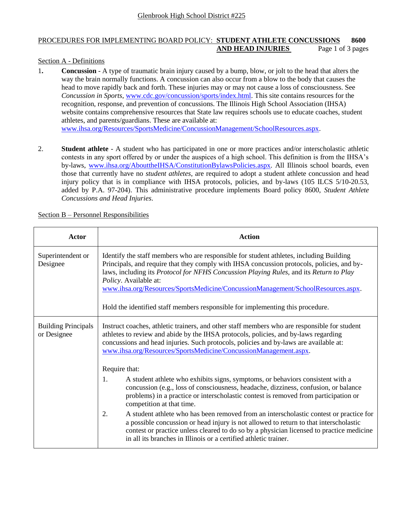## PROCEDURES FOR IMPLEMENTING BOARD POLICY: **STUDENT ATHLETE CONCUSSIONS 8600 AND HEAD INJURIES** Page 1 of 3 pages

## Section A - Definitions

- 1**. Concussion** A type of traumatic brain injury caused by a bump, blow, or jolt to the head that alters the way the brain normally functions. A concussion can also occur from a blow to the body that causes the head to move rapidly back and forth. These injuries may or may not cause a loss of consciousness. See *Concussion in Sports*, [www.cdc.gov/concussion/sports/index.html.](http://www.cdc.gov/concussion/sports/index.html) This site contains resources for the recognition, response, and prevention of concussions. The Illinois High School Association (IHSA) website contains comprehensive resources that State law requires schools use to educate coaches, student athletes, and parents/guardians. These are available at: [www.ihsa.org/Resources/SportsMedicine/ConcussionManagement/SchoolResources.aspx.](http://www.ihsa.org/Resources/SportsMedicine/ConcussionManagement/SchoolResources.aspx)
- 2. **Student athlete** A student who has participated in one or more practices and/or interscholastic athletic contests in any sport offered by or under the auspices of a high school. This definition is from the IHSA's by-laws, [www.ihsa.org/AbouttheIHSA/ConstitutionBylawsPolicies.aspx.](http://www.ihsa.org/AbouttheIHSA/ConstitutionBylawsPolicies.aspx) All Illinois school boards, even those that currently have no *student athletes*, are required to adopt a student athlete concussion and head injury policy that is in compliance with IHSA protocols, policies, and by-laws (105 ILCS 5/10-20.53, added by P.A. 97-204). This administrative procedure implements Board policy 8600, *Student Athlete Concussions and Head Injuries*.

| Actor                                     | <b>Action</b>                                                                                                                                                                                                                                                                                                                                                                                                                                                                  |
|-------------------------------------------|--------------------------------------------------------------------------------------------------------------------------------------------------------------------------------------------------------------------------------------------------------------------------------------------------------------------------------------------------------------------------------------------------------------------------------------------------------------------------------|
| Superintendent or<br>Designee             | Identify the staff members who are responsible for student athletes, including Building<br>Principals, and require that they comply with IHSA concussion protocols, policies, and by-<br>laws, including its Protocol for NFHS Concussion Playing Rules, and its Return to Play<br>Policy. Available at:<br>www.ihsa.org/Resources/SportsMedicine/ConcussionManagement/SchoolResources.aspx.<br>Hold the identified staff members responsible for implementing this procedure. |
| <b>Building Principals</b><br>or Designee | Instruct coaches, athletic trainers, and other staff members who are responsible for student<br>athletes to review and abide by the IHSA protocols, policies, and by-laws regarding<br>concussions and head injuries. Such protocols, policies and by-laws are available at:<br>www.ihsa.org/Resources/SportsMedicine/ConcussionManagement.aspx.                                                                                                                               |
|                                           | Require that:                                                                                                                                                                                                                                                                                                                                                                                                                                                                  |
|                                           | A student athlete who exhibits signs, symptoms, or behaviors consistent with a<br>1.<br>concussion (e.g., loss of consciousness, headache, dizziness, confusion, or balance<br>problems) in a practice or interscholastic contest is removed from participation or<br>competition at that time.                                                                                                                                                                                |
|                                           | 2.<br>A student athlete who has been removed from an interscholastic contest or practice for<br>a possible concussion or head injury is not allowed to return to that interscholastic<br>contest or practice unless cleared to do so by a physician licensed to practice medicine<br>in all its branches in Illinois or a certified athletic trainer.                                                                                                                          |

Section B – Personnel Responsibilities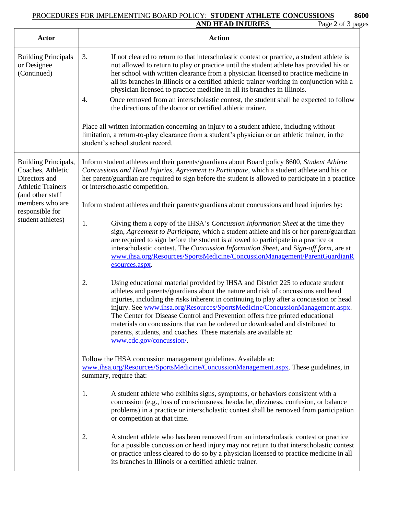## PROCEDURES FOR IMPLEMENTING BOARD POLICY: **STUDENT ATHLETE CONCUSSIONS 8600 AND HEAD INJURIES** Page 2 of 3 pages

| <b>Actor</b>                                                                                                                                                          | <b>Action</b>                                                                                                                                                                                                                                                                                                                                                                                                                                                                                                                                                                                                                                                                                                                                                                                                                                                    |
|-----------------------------------------------------------------------------------------------------------------------------------------------------------------------|------------------------------------------------------------------------------------------------------------------------------------------------------------------------------------------------------------------------------------------------------------------------------------------------------------------------------------------------------------------------------------------------------------------------------------------------------------------------------------------------------------------------------------------------------------------------------------------------------------------------------------------------------------------------------------------------------------------------------------------------------------------------------------------------------------------------------------------------------------------|
| <b>Building Principals</b><br>or Designee<br>(Continued)                                                                                                              | 3.<br>If not cleared to return to that interscholastic contest or practice, a student athlete is<br>not allowed to return to play or practice until the student athlete has provided his or<br>her school with written clearance from a physician licensed to practice medicine in<br>all its branches in Illinois or a certified athletic trainer working in conjunction with a<br>physician licensed to practice medicine in all its branches in Illinois.<br>Once removed from an interscholastic contest, the student shall be expected to follow<br>4.<br>the directions of the doctor or certified athletic trainer.<br>Place all written information concerning an injury to a student athlete, including without<br>limitation, a return-to-play clearance from a student's physician or an athletic trainer, in the<br>student's school student record. |
| Building Principals,<br>Coaches, Athletic<br>Directors and<br><b>Athletic Trainers</b><br>(and other staff<br>members who are<br>responsible for<br>student athletes) | Inform student athletes and their parents/guardians about Board policy 8600, Student Athlete<br>Concussions and Head Injuries, Agreement to Participate, which a student athlete and his or<br>her parent/guardian are required to sign before the student is allowed to participate in a practice<br>or interscholastic competition.                                                                                                                                                                                                                                                                                                                                                                                                                                                                                                                            |
|                                                                                                                                                                       | Inform student athletes and their parents/guardians about concussions and head injuries by:                                                                                                                                                                                                                                                                                                                                                                                                                                                                                                                                                                                                                                                                                                                                                                      |
|                                                                                                                                                                       | Giving them a copy of the IHSA's Concussion Information Sheet at the time they<br>1.<br>sign, Agreement to Participate, which a student athlete and his or her parent/guardian<br>are required to sign before the student is allowed to participate in a practice or<br>interscholastic contest. The Concussion Information Sheet, and Sign-off form, are at<br>www.ihsa.org/Resources/SportsMedicine/ConcussionManagement/ParentGuardianR<br>esources.aspx.                                                                                                                                                                                                                                                                                                                                                                                                     |
|                                                                                                                                                                       | 2.<br>Using educational material provided by IHSA and District 225 to educate student<br>athletes and parents/guardians about the nature and risk of concussions and head<br>injuries, including the risks inherent in continuing to play after a concussion or head<br>injury. See www.ihsa.org/Resources/SportsMedicine/ConcussionManagement.aspx.<br>The Center for Disease Control and Prevention offers free printed educational<br>materials on concussions that can be ordered or downloaded and distributed to<br>parents, students, and coaches. These materials are available at:<br>www.cdc.gov/concussion/.                                                                                                                                                                                                                                          |
|                                                                                                                                                                       | Follow the IHSA concussion management guidelines. Available at:<br>www.ihsa.org/Resources/SportsMedicine/ConcussionManagement.aspx. These guidelines, in<br>summary, require that:                                                                                                                                                                                                                                                                                                                                                                                                                                                                                                                                                                                                                                                                               |
|                                                                                                                                                                       | A student athlete who exhibits signs, symptoms, or behaviors consistent with a<br>1.<br>concussion (e.g., loss of consciousness, headache, dizziness, confusion, or balance<br>problems) in a practice or interscholastic contest shall be removed from participation<br>or competition at that time.                                                                                                                                                                                                                                                                                                                                                                                                                                                                                                                                                            |
|                                                                                                                                                                       | A student athlete who has been removed from an interscholastic contest or practice<br>2.<br>for a possible concussion or head injury may not return to that interscholastic contest<br>or practice unless cleared to do so by a physician licensed to practice medicine in all<br>its branches in Illinois or a certified athletic trainer.                                                                                                                                                                                                                                                                                                                                                                                                                                                                                                                      |